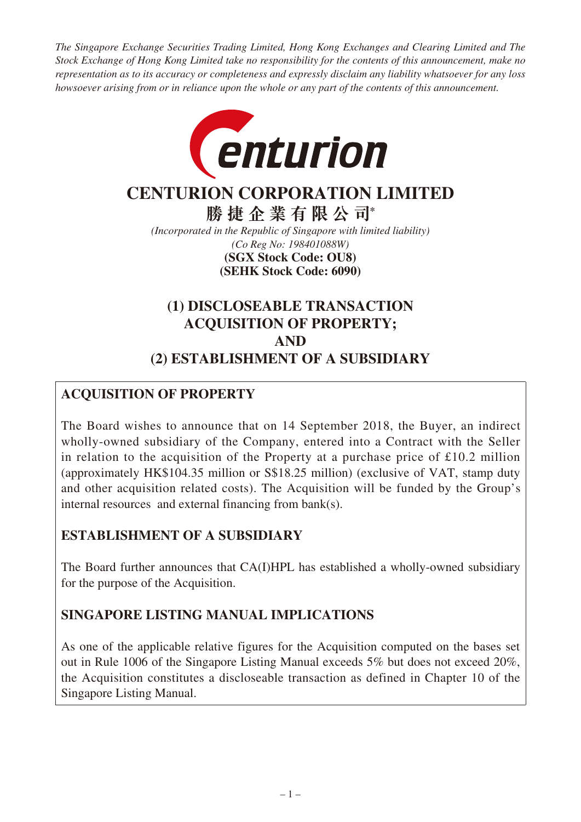*The Singapore Exchange Securities Trading Limited, Hong Kong Exchanges and Clearing Limited and The Stock Exchange of Hong Kong Limited take no responsibility for the contents of this announcement, make no representation as to its accuracy or completeness and expressly disclaim any liability whatsoever for any loss howsoever arising from or in reliance upon the whole or any part of the contents of this announcement.*



# **CENTURION CORPORATION LIMITED**

**勝捷企業有限公司\***

*(Incorporated in the Republic of Singapore with limited liability) (Co Reg No: 198401088W)* **(SEHK Stock Code: 6090) (SGX Stock Code: OU8)**

# **(1) DISCLOSEABLE TRANSACTION ACQUISITION OF PROPERTY; AND (2) ESTABLISHMENT OF A SUBSIDIARY**

# **ACQUISITION OF PROPERTY**

The Board wishes to announce that on 14 September 2018, the Buyer, an indirect wholly-owned subsidiary of the Company, entered into a Contract with the Seller in relation to the acquisition of the Property at a purchase price of  $\text{\pounds}10.2$  million (approximately HK\$104.35 million or S\$18.25 million) (exclusive of VAT, stamp duty and other acquisition related costs). The Acquisition will be funded by the Group's internal resources and external financing from bank(s).

# **ESTABLISHMENT OF A SUBSIDIARY**

The Board further announces that CA(I)HPL has established a wholly-owned subsidiary for the purpose of the Acquisition.

# **SINGAPORE LISTING MANUAL IMPLICATIONS**

As one of the applicable relative figures for the Acquisition computed on the bases set out in Rule 1006 of the Singapore Listing Manual exceeds 5% but does not exceed 20%, the Acquisition constitutes a discloseable transaction as defined in Chapter 10 of the Singapore Listing Manual.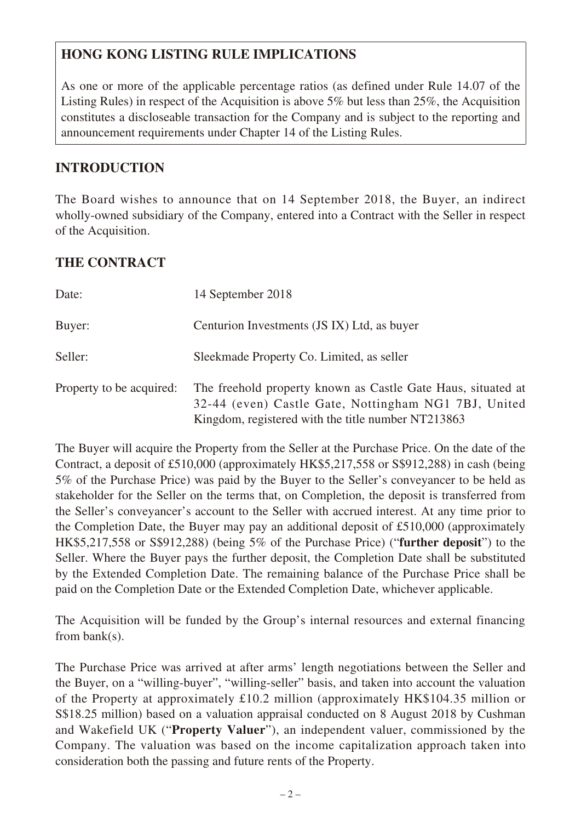# **HONG KONG LISTING RULE IMPLICATIONS**

As one or more of the applicable percentage ratios (as defined under Rule 14.07 of the Listing Rules) in respect of the Acquisition is above 5% but less than 25%, the Acquisition constitutes a discloseable transaction for the Company and is subject to the reporting and announcement requirements under Chapter 14 of the Listing Rules.

## **INTRODUCTION**

The Board wishes to announce that on 14 September 2018, the Buyer, an indirect wholly-owned subsidiary of the Company, entered into a Contract with the Seller in respect of the Acquisition.

## **THE CONTRACT**

| Date:                    | 14 September 2018                                                                                                                                                          |
|--------------------------|----------------------------------------------------------------------------------------------------------------------------------------------------------------------------|
| Buyer:                   | Centurion Investments (JS IX) Ltd, as buyer                                                                                                                                |
| Seller:                  | Sleekmade Property Co. Limited, as seller                                                                                                                                  |
| Property to be acquired: | The freehold property known as Castle Gate Haus, situated at<br>32-44 (even) Castle Gate, Nottingham NG1 7BJ, United<br>Kingdom, registered with the title number NT213863 |

The Buyer will acquire the Property from the Seller at the Purchase Price. On the date of the Contract, a deposit of £510,000 (approximately HK\$5,217,558 or S\$912,288) in cash (being 5% of the Purchase Price) was paid by the Buyer to the Seller's conveyancer to be held as stakeholder for the Seller on the terms that, on Completion, the deposit is transferred from the Seller's conveyancer's account to the Seller with accrued interest. At any time prior to the Completion Date, the Buyer may pay an additional deposit of £510,000 (approximately HK\$5,217,558 or S\$912,288) (being 5% of the Purchase Price) ("**further deposit**") to the Seller. Where the Buyer pays the further deposit, the Completion Date shall be substituted by the Extended Completion Date. The remaining balance of the Purchase Price shall be paid on the Completion Date or the Extended Completion Date, whichever applicable.

The Acquisition will be funded by the Group's internal resources and external financing from bank(s).

The Purchase Price was arrived at after arms' length negotiations between the Seller and the Buyer, on a "willing-buyer", "willing-seller" basis, and taken into account the valuation of the Property at approximately £10.2 million (approximately HK\$104.35 million or S\$18.25 million) based on a valuation appraisal conducted on 8 August 2018 by Cushman and Wakefield UK ("**Property Valuer**"), an independent valuer, commissioned by the Company. The valuation was based on the income capitalization approach taken into consideration both the passing and future rents of the Property.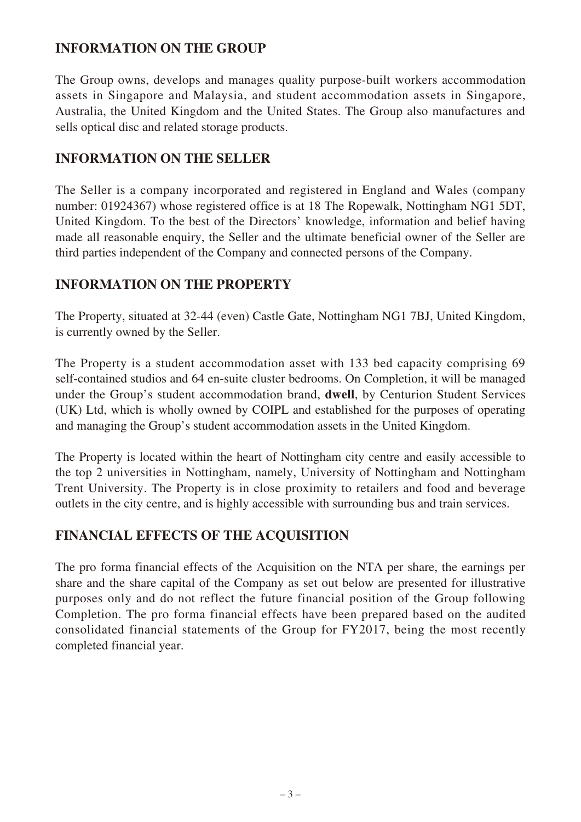## **INFORMATION ON THE GROUP**

The Group owns, develops and manages quality purpose-built workers accommodation assets in Singapore and Malaysia, and student accommodation assets in Singapore, Australia, the United Kingdom and the United States. The Group also manufactures and sells optical disc and related storage products.

#### **INFORMATION ON THE SELLER**

The Seller is a company incorporated and registered in England and Wales (company number: 01924367) whose registered office is at 18 The Ropewalk, Nottingham NG1 5DT, United Kingdom. To the best of the Directors' knowledge, information and belief having made all reasonable enquiry, the Seller and the ultimate beneficial owner of the Seller are third parties independent of the Company and connected persons of the Company.

## **INFORMATION ON THE PROPERTY**

The Property, situated at 32-44 (even) Castle Gate, Nottingham NG1 7BJ, United Kingdom, is currently owned by the Seller.

The Property is a student accommodation asset with 133 bed capacity comprising 69 self-contained studios and 64 en-suite cluster bedrooms. On Completion, it will be managed under the Group's student accommodation brand, **dwell**, by Centurion Student Services (UK) Ltd, which is wholly owned by COIPL and established for the purposes of operating and managing the Group's student accommodation assets in the United Kingdom.

The Property is located within the heart of Nottingham city centre and easily accessible to the top 2 universities in Nottingham, namely, University of Nottingham and Nottingham Trent University. The Property is in close proximity to retailers and food and beverage outlets in the city centre, and is highly accessible with surrounding bus and train services.

## **FINANCIAL EFFECTS OF THE ACQUISITION**

The pro forma financial effects of the Acquisition on the NTA per share, the earnings per share and the share capital of the Company as set out below are presented for illustrative purposes only and do not reflect the future financial position of the Group following Completion. The pro forma financial effects have been prepared based on the audited consolidated financial statements of the Group for FY2017, being the most recently completed financial year.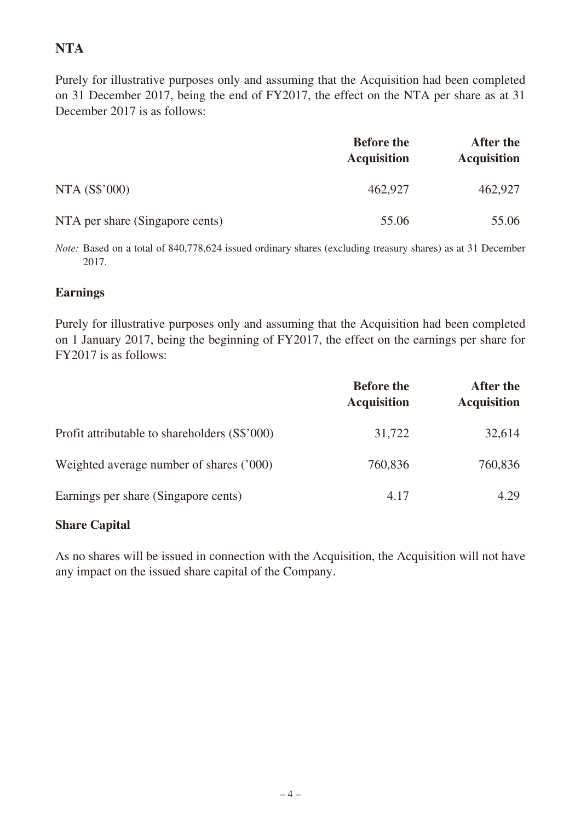# **NTA**

Purely for illustrative purposes only and assuming that the Acquisition had been completed on 31 December 2017, being the end of FY2017, the effect on the NTA per share as at 31 December 2017 is as follows:

|                                 | <b>Before the</b><br><b>Acquisition</b> | After the<br><b>Acquisition</b> |
|---------------------------------|-----------------------------------------|---------------------------------|
| NTA (S\$'000)                   | 462,927                                 | 462,927                         |
| NTA per share (Singapore cents) | 55.06                                   | 55.06                           |

*Note:* Based on a total of 840,778,624 issued ordinary shares (excluding treasury shares) as at 31 December 2017.

#### **Earnings**

Purely for illustrative purposes only and assuming that the Acquisition had been completed on 1 January 2017, being the beginning of FY2017, the effect on the earnings per share for FY2017 is as follows:

|                                               | <b>Before the</b><br><b>Acquisition</b> | After the<br><b>Acquisition</b> |
|-----------------------------------------------|-----------------------------------------|---------------------------------|
| Profit attributable to shareholders (S\$'000) | 31,722                                  | 32,614                          |
| Weighted average number of shares ('000)      | 760,836                                 | 760,836                         |
| Earnings per share (Singapore cents)          | 4.17                                    | 4.29                            |

## **Share Capital**

As no shares will be issued in connection with the Acquisition, the Acquisition will not have any impact on the issued share capital of the Company.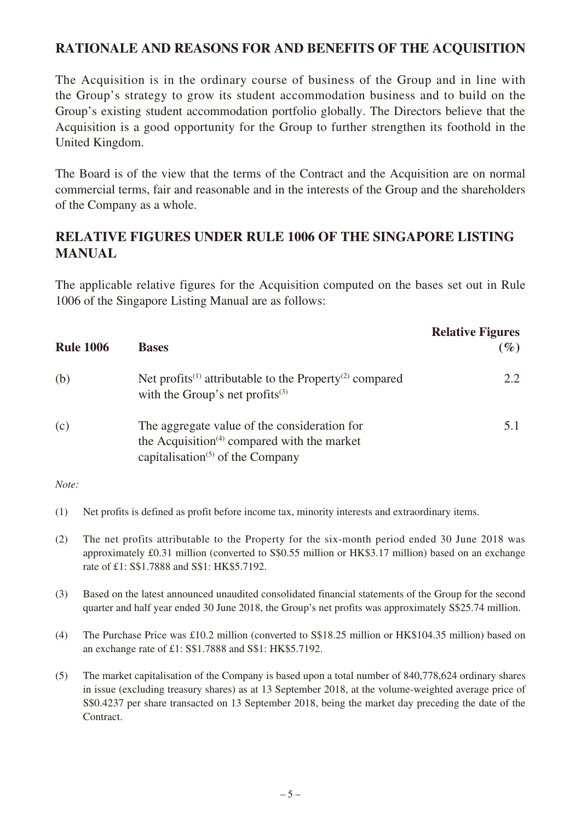#### **RATIONALE AND REASONS FOR AND BENEFITS OF THE ACQUISITION**

The Acquisition is in the ordinary course of business of the Group and in line with the Group's strategy to grow its student accommodation business and to build on the Group's existing student accommodation portfolio globally. The Directors believe that the Acquisition is a good opportunity for the Group to further strengthen its foothold in the United Kingdom.

The Board is of the view that the terms of the Contract and the Acquisition are on normal commercial terms, fair and reasonable and in the interests of the Group and the shareholders of the Company as a whole.

#### **RELATIVE FIGURES UNDER RULE 1006 OF THE SINGAPORE LISTING MANUAL**

The applicable relative figures for the Acquisition computed on the bases set out in Rule 1006 of the Singapore Listing Manual are as follows:

| <b>Rule 1006</b> | <b>Bases</b>                                                                                                                                                                      | <b>Relative Figures</b><br>$(\%)$ |
|------------------|-----------------------------------------------------------------------------------------------------------------------------------------------------------------------------------|-----------------------------------|
| (b)              | Net profits <sup>(1)</sup> attributable to the Property <sup>(2)</sup> compared<br>with the Group's net profits $(3)$                                                             | 2.2                               |
| (c)              | The aggregate value of the consideration for<br>the Acquisition <sup><math>(4)</math></sup> compared with the market<br>capitalisation <sup><math>(5)</math></sup> of the Company | 5.1                               |

#### *Note:*

- (1) Net profits is defined as profit before income tax, minority interests and extraordinary items.
- (2) The net profits attributable to the Property for the six-month period ended 30 June 2018 was approximately £0.31 million (converted to S\$0.55 million or HK\$3.17 million) based on an exchange rate of £1: S\$1.7888 and S\$1: HK\$5.7192.
- (3) Based on the latest announced unaudited consolidated financial statements of the Group for the second quarter and half year ended 30 June 2018, the Group's net profits was approximately S\$25.74 million.
- (4) The Purchase Price was £10.2 million (converted to S\$18.25 million or HK\$104.35 million) based on an exchange rate of £1: S\$1.7888 and S\$1: HK\$5.7192.
- (5) The market capitalisation of the Company is based upon a total number of 840,778,624 ordinary shares in issue (excluding treasury shares) as at 13 September 2018, at the volume-weighted average price of S\$0.4237 per share transacted on 13 September 2018, being the market day preceding the date of the Contract.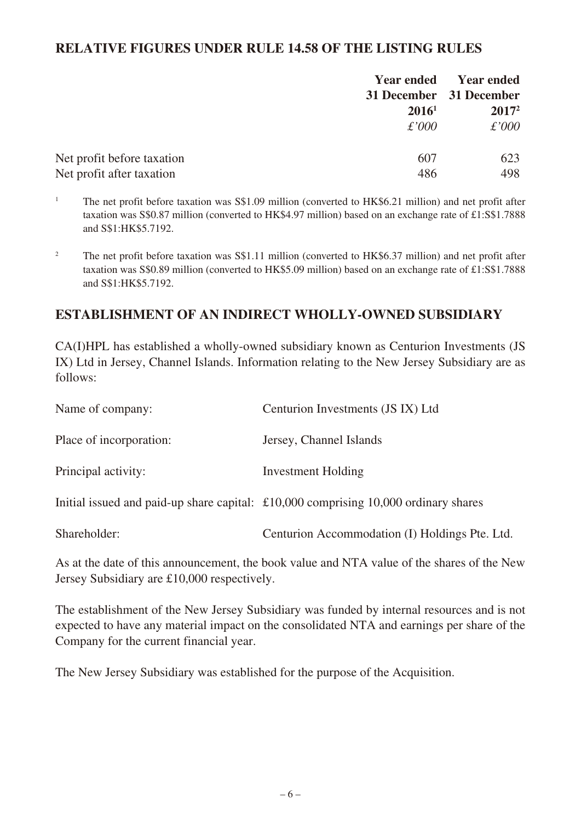#### **RELATIVE FIGURES UNDER RULE 14.58 OF THE LISTING RULES**

|                            |                   | <b>Year ended</b> Year ended |
|----------------------------|-------------------|------------------------------|
|                            |                   | 31 December 31 December      |
|                            | 2016 <sup>1</sup> | $2017^2$                     |
|                            | $\pounds'000$     | $\pounds'000$                |
| Net profit before taxation | 607               | 623                          |
| Net profit after taxation  | 486               | 498                          |

<sup>1</sup> The net profit before taxation was S\$1.09 million (converted to HK\$6.21 million) and net profit after taxation was S\$0.87 million (converted to HK\$4.97 million) based on an exchange rate of £1:S\$1.7888 and S\$1:HK\$5.7192.

<sup>2</sup> The net profit before taxation was S\$1.11 million (converted to HK\$6.37 million) and net profit after taxation was S\$0.89 million (converted to HK\$5.09 million) based on an exchange rate of £1:S\$1.7888 and S\$1:HK\$5.7192.

#### **ESTABLISHMENT OF AN INDIRECT WHOLLY-OWNED SUBSIDIARY**

CA(I)HPL has established a wholly-owned subsidiary known as Centurion Investments (JS IX) Ltd in Jersey, Channel Islands. Information relating to the New Jersey Subsidiary are as follows:

| Name of company:        | Centurion Investments (JS IX) Ltd                                                            |
|-------------------------|----------------------------------------------------------------------------------------------|
| Place of incorporation: | Jersey, Channel Islands                                                                      |
| Principal activity:     | <b>Investment Holding</b>                                                                    |
|                         | Initial issued and paid-up share capital: $\pounds 10,000$ comprising 10,000 ordinary shares |
| Shareholder:            | Centurion Accommodation (I) Holdings Pte. Ltd.                                               |

As at the date of this announcement, the book value and NTA value of the shares of the New Jersey Subsidiary are £10,000 respectively.

The establishment of the New Jersey Subsidiary was funded by internal resources and is not expected to have any material impact on the consolidated NTA and earnings per share of the Company for the current financial year.

The New Jersey Subsidiary was established for the purpose of the Acquisition.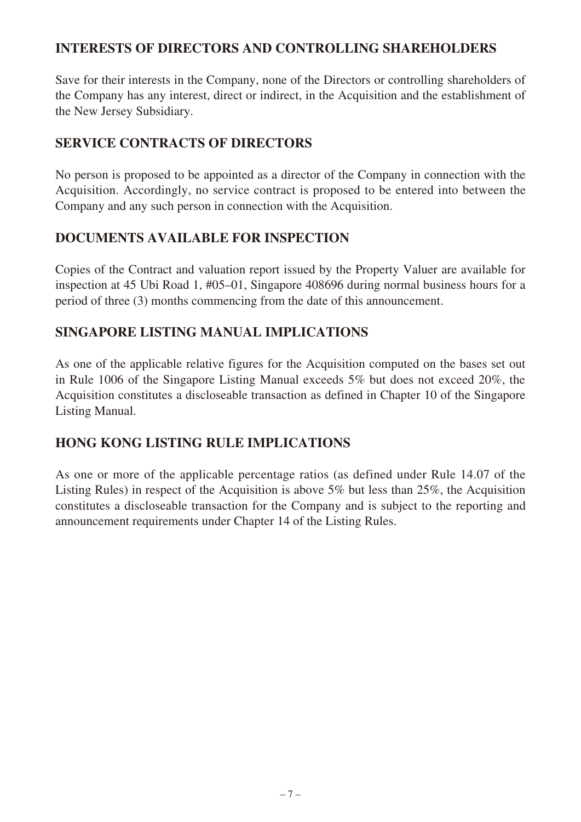#### **INTERESTS OF DIRECTORS AND CONTROLLING SHAREHOLDERS**

Save for their interests in the Company, none of the Directors or controlling shareholders of the Company has any interest, direct or indirect, in the Acquisition and the establishment of the New Jersey Subsidiary.

## **SERVICE CONTRACTS OF DIRECTORS**

No person is proposed to be appointed as a director of the Company in connection with the Acquisition. Accordingly, no service contract is proposed to be entered into between the Company and any such person in connection with the Acquisition.

## **DOCUMENTS AVAILABLE FOR INSPECTION**

Copies of the Contract and valuation report issued by the Property Valuer are available for inspection at 45 Ubi Road 1, #05–01, Singapore 408696 during normal business hours for a period of three (3) months commencing from the date of this announcement.

## **SINGAPORE LISTING MANUAL IMPLICATIONS**

As one of the applicable relative figures for the Acquisition computed on the bases set out in Rule 1006 of the Singapore Listing Manual exceeds 5% but does not exceed 20%, the Acquisition constitutes a discloseable transaction as defined in Chapter 10 of the Singapore Listing Manual.

# **HONG KONG LISTING RULE IMPLICATIONS**

As one or more of the applicable percentage ratios (as defined under Rule 14.07 of the Listing Rules) in respect of the Acquisition is above 5% but less than 25%, the Acquisition constitutes a discloseable transaction for the Company and is subject to the reporting and announcement requirements under Chapter 14 of the Listing Rules.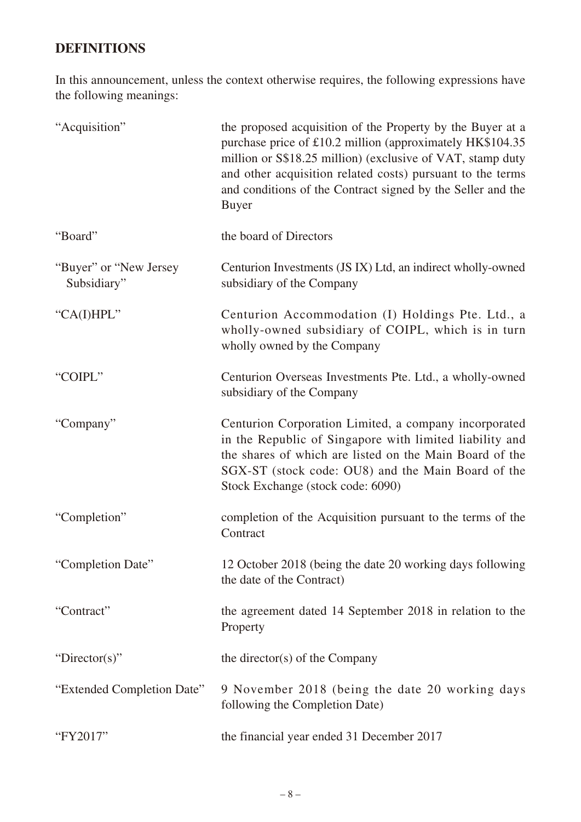# **DEFINITIONS**

In this announcement, unless the context otherwise requires, the following expressions have the following meanings:

| "Acquisition"                          | the proposed acquisition of the Property by the Buyer at a<br>purchase price of £10.2 million (approximately HK\$104.35)<br>million or S\$18.25 million) (exclusive of VAT, stamp duty<br>and other acquisition related costs) pursuant to the terms<br>and conditions of the Contract signed by the Seller and the<br><b>Buyer</b> |
|----------------------------------------|-------------------------------------------------------------------------------------------------------------------------------------------------------------------------------------------------------------------------------------------------------------------------------------------------------------------------------------|
| "Board"                                | the board of Directors                                                                                                                                                                                                                                                                                                              |
| "Buyer" or "New Jersey"<br>Subsidiary" | Centurion Investments (JS IX) Ltd, an indirect wholly-owned<br>subsidiary of the Company                                                                                                                                                                                                                                            |
| "CA(I)HPL"                             | Centurion Accommodation (I) Holdings Pte. Ltd., a<br>wholly-owned subsidiary of COIPL, which is in turn<br>wholly owned by the Company                                                                                                                                                                                              |
| "COIPL"                                | Centurion Overseas Investments Pte. Ltd., a wholly-owned<br>subsidiary of the Company                                                                                                                                                                                                                                               |
| "Company"                              | Centurion Corporation Limited, a company incorporated<br>in the Republic of Singapore with limited liability and<br>the shares of which are listed on the Main Board of the<br>SGX-ST (stock code: OU8) and the Main Board of the<br>Stock Exchange (stock code: 6090)                                                              |
| "Completion"                           | completion of the Acquisition pursuant to the terms of the<br>Contract                                                                                                                                                                                                                                                              |
| "Completion Date"                      | 12 October 2018 (being the date 20 working days following<br>the date of the Contract)                                                                                                                                                                                                                                              |
| "Contract"                             | the agreement dated 14 September 2018 in relation to the<br>Property                                                                                                                                                                                                                                                                |
| "Director(s)"                          | the director(s) of the Company                                                                                                                                                                                                                                                                                                      |
| "Extended Completion Date"             | 9 November 2018 (being the date 20 working days<br>following the Completion Date)                                                                                                                                                                                                                                                   |
| "FY2017"                               | the financial year ended 31 December 2017                                                                                                                                                                                                                                                                                           |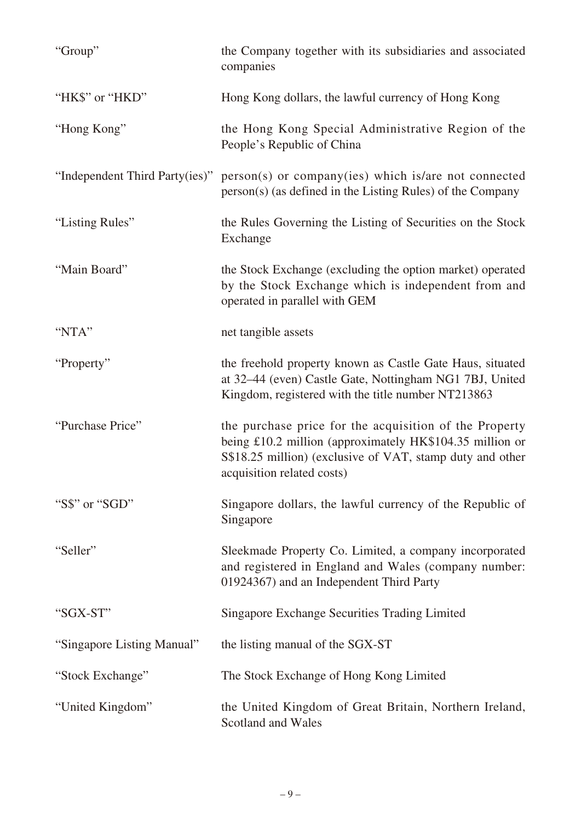| "Group"                        | the Company together with its subsidiaries and associated<br>companies                                                                                                                                        |
|--------------------------------|---------------------------------------------------------------------------------------------------------------------------------------------------------------------------------------------------------------|
| "HK\$" or "HKD"                | Hong Kong dollars, the lawful currency of Hong Kong                                                                                                                                                           |
| "Hong Kong"                    | the Hong Kong Special Administrative Region of the<br>People's Republic of China                                                                                                                              |
| "Independent Third Party(ies)" | person(s) or company(ies) which is/are not connected<br>person(s) (as defined in the Listing Rules) of the Company                                                                                            |
| "Listing Rules"                | the Rules Governing the Listing of Securities on the Stock<br>Exchange                                                                                                                                        |
| "Main Board"                   | the Stock Exchange (excluding the option market) operated<br>by the Stock Exchange which is independent from and<br>operated in parallel with GEM                                                             |
| "NTA"                          | net tangible assets                                                                                                                                                                                           |
| "Property"                     | the freehold property known as Castle Gate Haus, situated<br>at 32–44 (even) Castle Gate, Nottingham NG1 7BJ, United<br>Kingdom, registered with the title number NT213863                                    |
| "Purchase Price"               | the purchase price for the acquisition of the Property<br>being £10.2 million (approximately HK\$104.35 million or<br>S\$18.25 million) (exclusive of VAT, stamp duty and other<br>acquisition related costs) |
| "S\$" or "SGD"                 | Singapore dollars, the lawful currency of the Republic of<br>Singapore                                                                                                                                        |
| "Seller"                       | Sleekmade Property Co. Limited, a company incorporated<br>and registered in England and Wales (company number:<br>01924367) and an Independent Third Party                                                    |
| "SGX-ST"                       | Singapore Exchange Securities Trading Limited                                                                                                                                                                 |
| "Singapore Listing Manual"     | the listing manual of the SGX-ST                                                                                                                                                                              |
| "Stock Exchange"               | The Stock Exchange of Hong Kong Limited                                                                                                                                                                       |
| "United Kingdom"               | the United Kingdom of Great Britain, Northern Ireland,<br>Scotland and Wales                                                                                                                                  |